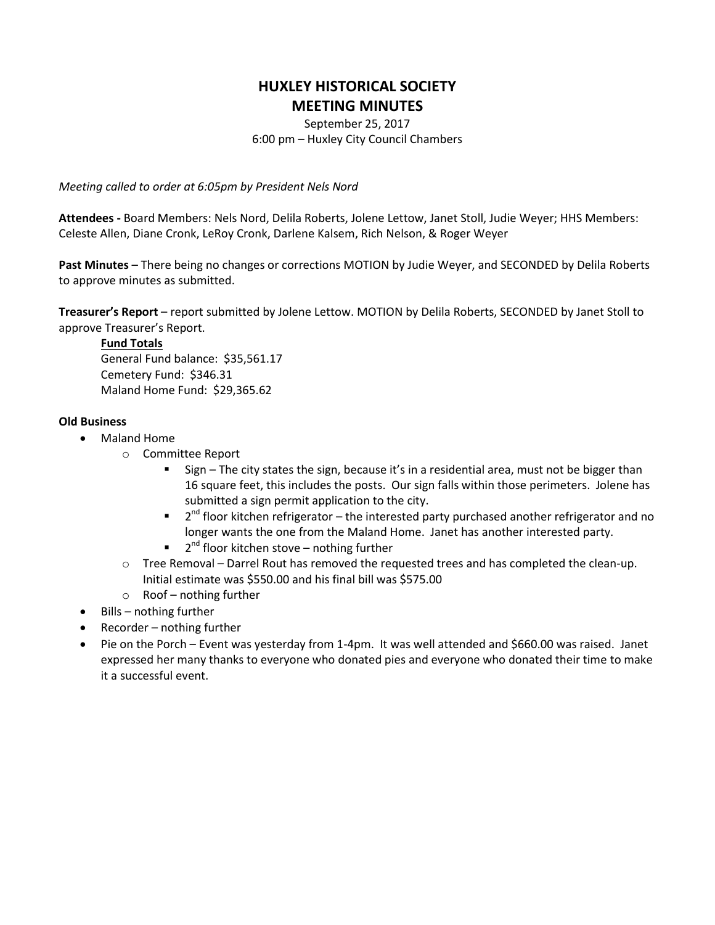# **HUXLEY HISTORICAL SOCIETY MEETING MINUTES**

September 25, 2017 6:00 pm – Huxley City Council Chambers

*Meeting called to order at 6:05pm by President Nels Nord*

**Attendees -** Board Members: Nels Nord, Delila Roberts, Jolene Lettow, Janet Stoll, Judie Weyer; HHS Members: Celeste Allen, Diane Cronk, LeRoy Cronk, Darlene Kalsem, Rich Nelson, & Roger Weyer

**Past Minutes** – There being no changes or corrections MOTION by Judie Weyer, and SECONDED by Delila Roberts to approve minutes as submitted.

**Treasurer's Report** – report submitted by Jolene Lettow. MOTION by Delila Roberts, SECONDED by Janet Stoll to approve Treasurer's Report.

## **Fund Totals**

General Fund balance: \$35,561.17 Cemetery Fund: \$346.31 Maland Home Fund: \$29,365.62

## **Old Business**

- Maland Home
	- o Committee Report
		- $\blacksquare$  Sign The city states the sign, because it's in a residential area, must not be bigger than 16 square feet, this includes the posts. Our sign falls within those perimeters. Jolene has submitted a sign permit application to the city.
		- 2  $2<sup>nd</sup>$  floor kitchen refrigerator – the interested party purchased another refrigerator and no longer wants the one from the Maland Home. Janet has another interested party.
		- $\blacksquare$  2<sup>nd</sup> floor kitchen stove nothing further
	- $\circ$  Tree Removal Darrel Rout has removed the requested trees and has completed the clean-up. Initial estimate was \$550.00 and his final bill was \$575.00
	- $\circ$  Roof nothing further
- Bills nothing further
- Recorder nothing further
- Pie on the Porch Event was yesterday from 1-4pm. It was well attended and \$660.00 was raised. Janet expressed her many thanks to everyone who donated pies and everyone who donated their time to make it a successful event.